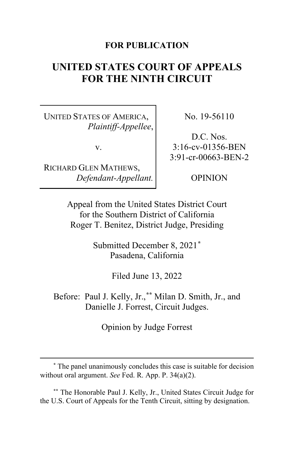### **FOR PUBLICATION**

# **UNITED STATES COURT OF APPEALS FOR THE NINTH CIRCUIT**

UNITED STATES OF AMERICA, *Plaintiff-Appellee*,

v.

RICHARD GLEN MATHEWS, *Defendant-Appellant.* No. 19-56110

D.C. Nos. 3:16-cv-01356-BEN 3:91-cr-00663-BEN-2

OPINION

Appeal from the United States District Court for the Southern District of California Roger T. Benitez, District Judge, Presiding

> Submitted December 8, 2021**[\\*](#page-0-0)** Pasadena, California

> > Filed June 13, 2022

Before: Paul J. Kelly, Jr.,**[\\*\\*](#page-0-1)** Milan D. Smith, Jr., and Danielle J. Forrest, Circuit Judges.

Opinion by Judge Forrest

<span id="page-0-1"></span>**\*\*** The Honorable Paul J. Kelly, Jr., United States Circuit Judge for the U.S. Court of Appeals for the Tenth Circuit, sitting by designation.

<span id="page-0-0"></span>**<sup>\*</sup>** The panel unanimously concludes this case is suitable for decision without oral argument. *See* Fed. R. App. P. 34(a)(2).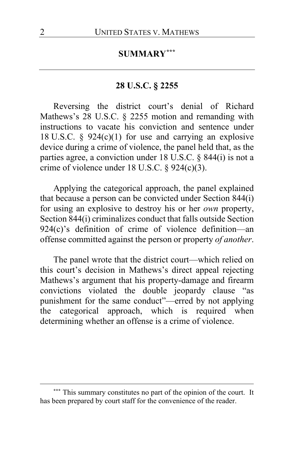# **SUMMARY[\\*\\*\\*](#page-1-0)**

# **28 U.S.C. § 2255**

Reversing the district court's denial of Richard Mathews's 28 U.S.C. § 2255 motion and remanding with instructions to vacate his conviction and sentence under 18 U.S.C.  $\S$  924(c)(1) for use and carrying an explosive device during a crime of violence, the panel held that, as the parties agree, a conviction under 18 U.S.C. § 844(i) is not a crime of violence under 18 U.S.C. § 924(c)(3).

Applying the categorical approach, the panel explained that because a person can be convicted under Section 844(i) for using an explosive to destroy his or her *own* property, Section 844(i) criminalizes conduct that falls outside Section 924(c)'s definition of crime of violence definition—an offense committed against the person or property *of another*.

The panel wrote that the district court—which relied on this court's decision in Mathews's direct appeal rejecting Mathews's argument that his property-damage and firearm convictions violated the double jeopardy clause "as punishment for the same conduct"—erred by not applying the categorical approach, which is required when determining whether an offense is a crime of violence.

<span id="page-1-0"></span><sup>\*\*\*</sup> This summary constitutes no part of the opinion of the court. It has been prepared by court staff for the convenience of the reader.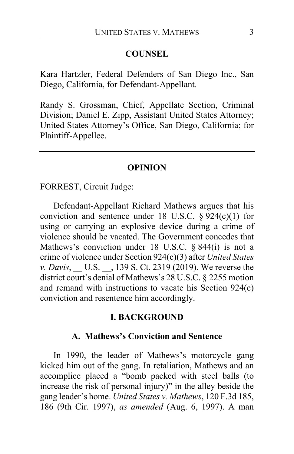#### **COUNSEL**

Kara Hartzler, Federal Defenders of San Diego Inc., San Diego, California, for Defendant-Appellant.

Randy S. Grossman, Chief, Appellate Section, Criminal Division; Daniel E. Zipp, Assistant United States Attorney; United States Attorney's Office, San Diego, California; for Plaintiff-Appellee.

#### **OPINION**

FORREST, Circuit Judge:

Defendant-Appellant Richard Mathews argues that his conviction and sentence under 18 U.S.C.  $\S 924(c)(1)$  for using or carrying an explosive device during a crime of violence should be vacated. The Government concedes that Mathews's conviction under 18 U.S.C. § 844(i) is not a crime of violence under Section 924(c)(3) after *United States v. Davis*, \_\_ U.S. \_\_, 139 S. Ct. 2319 (2019). We reverse the district court's denial of Mathews's 28 U.S.C. § 2255 motion and remand with instructions to vacate his Section 924(c) conviction and resentence him accordingly.

#### **I. BACKGROUND**

#### **A. Mathews's Conviction and Sentence**

In 1990, the leader of Mathews's motorcycle gang kicked him out of the gang. In retaliation, Mathews and an accomplice placed a "bomb packed with steel balls (to increase the risk of personal injury)" in the alley beside the gang leader's home. *United States v. Mathews*, 120 F.3d 185, 186 (9th Cir. 1997), *as amended* (Aug. 6, 1997). A man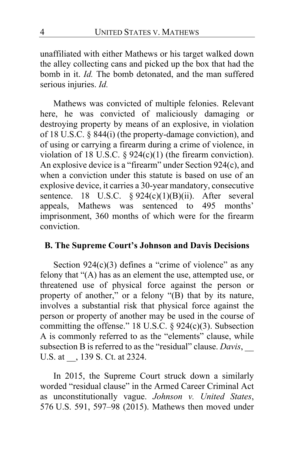unaffiliated with either Mathews or his target walked down the alley collecting cans and picked up the box that had the bomb in it. *Id.* The bomb detonated, and the man suffered serious injuries. *Id.*

Mathews was convicted of multiple felonies. Relevant here, he was convicted of maliciously damaging or destroying property by means of an explosive, in violation of 18 U.S.C. § 844(i) (the property-damage conviction), and of using or carrying a firearm during a crime of violence, in violation of 18 U.S.C.  $\S 924(c)(1)$  (the firearm conviction). An explosive device is a "firearm" under Section 924(c), and when a conviction under this statute is based on use of an explosive device, it carries a 30-year mandatory, consecutive sentence. 18 U.S.C.  $\S 924(c)(1)(B)(ii)$ . After several appeals, Mathews was sentenced to 495 months' imprisonment, 360 months of which were for the firearm conviction.

### **B. The Supreme Court's Johnson and Davis Decisions**

Section  $924(c)(3)$  defines a "crime of violence" as any felony that "(A) has as an element the use, attempted use, or threatened use of physical force against the person or property of another," or a felony "(B) that by its nature, involves a substantial risk that physical force against the person or property of another may be used in the course of committing the offense." 18 U.S.C.  $\S$  924(c)(3). Subsection A is commonly referred to as the "elements" clause, while subsection B is referred to as the "residual" clause. *Davis*, \_\_ U.S. at  $\,$ , 139 S. Ct. at 2324.

In 2015, the Supreme Court struck down a similarly worded "residual clause" in the Armed Career Criminal Act as unconstitutionally vague. *Johnson v. United States*, 576 U.S. 591, 597–98 (2015). Mathews then moved under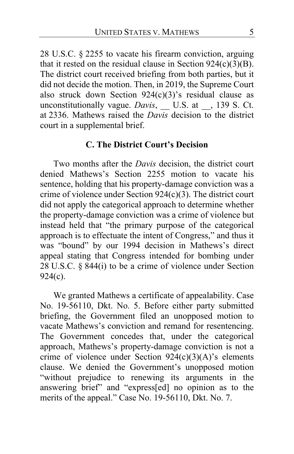28 U.S.C. § 2255 to vacate his firearm conviction, arguing that it rested on the residual clause in Section  $924(c)(3)(B)$ . The district court received briefing from both parties, but it did not decide the motion. Then, in 2019, the Supreme Court also struck down Section  $924(c)(3)$ 's residual clause as unconstitutionally vague. *Davis*, \_\_ U.S. at \_\_, 139 S. Ct. at 2336. Mathews raised the *Davis* decision to the district court in a supplemental brief.

### **C. The District Court's Decision**

Two months after the *Davis* decision, the district court denied Mathews's Section 2255 motion to vacate his sentence, holding that his property-damage conviction was a crime of violence under Section 924(c)(3). The district court did not apply the categorical approach to determine whether the property-damage conviction was a crime of violence but instead held that "the primary purpose of the categorical approach is to effectuate the intent of Congress," and thus it was "bound" by our 1994 decision in Mathews's direct appeal stating that Congress intended for bombing under 28 U.S.C. § 844(i) to be a crime of violence under Section 924(c).

We granted Mathews a certificate of appealability. Case No. 19-56110, Dkt. No. 5. Before either party submitted briefing, the Government filed an unopposed motion to vacate Mathews's conviction and remand for resentencing. The Government concedes that, under the categorical approach, Mathews's property-damage conviction is not a crime of violence under Section  $924(c)(3)(A)$ 's elements clause. We denied the Government's unopposed motion "without prejudice to renewing its arguments in the answering brief" and "express[ed] no opinion as to the merits of the appeal." Case No. 19-56110, Dkt. No. 7.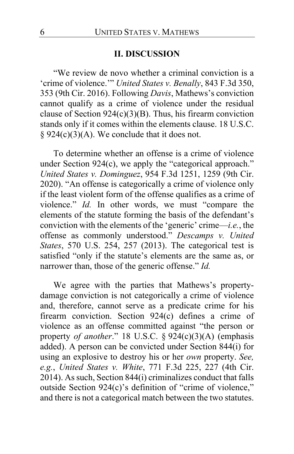#### **II. DISCUSSION**

"We review de novo whether a criminal conviction is a 'crime of violence.'" *United States v. Benally*, 843 F.3d 350, 353 (9th Cir. 2016). Following *Davis*, Mathews's conviction cannot qualify as a crime of violence under the residual clause of Section  $924(c)(3)(B)$ . Thus, his firearm conviction stands only if it comes within the elements clause. 18 U.S.C. § 924(c)(3)(A). We conclude that it does not.

To determine whether an offense is a crime of violence under Section 924(c), we apply the "categorical approach." *United States v. Dominguez*, 954 F.3d 1251, 1259 (9th Cir. 2020). "An offense is categorically a crime of violence only if the least violent form of the offense qualifies as a crime of violence." *Id.* In other words, we must "compare the elements of the statute forming the basis of the defendant's conviction with the elements of the 'generic' crime—*i.e.*, the offense as commonly understood." *Descamps v. United States*, 570 U.S. 254, 257 (2013). The categorical test is satisfied "only if the statute's elements are the same as, or narrower than, those of the generic offense." *Id.*

We agree with the parties that Mathews's propertydamage conviction is not categorically a crime of violence and, therefore, cannot serve as a predicate crime for his firearm conviction. Section 924(c) defines a crime of violence as an offense committed against "the person or property *of another*." 18 U.S.C. § 924(c)(3)(A) (emphasis added). A person can be convicted under Section 844(i) for using an explosive to destroy his or her *own* property. *See, e.g.*, *United States v. White*, 771 F.3d 225, 227 (4th Cir. 2014). As such, Section 844(i) criminalizes conduct that falls outside Section 924(c)'s definition of "crime of violence," and there is not a categorical match between the two statutes.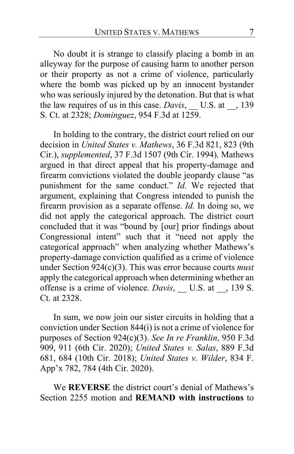No doubt it is strange to classify placing a bomb in an alleyway for the purpose of causing harm to another person or their property as not a crime of violence, particularly where the bomb was picked up by an innocent bystander who was seriously injured by the detonation. But that is what the law requires of us in this case. *Davis*, U.S. at \_\_, 139 S. Ct. at 2328; *Dominguez*, 954 F.3d at 1259.

In holding to the contrary, the district court relied on our decision in *United States v. Mathews*, 36 F.3d 821, 823 (9th Cir.), *supplemented*, 37 F.3d 1507 (9th Cir. 1994). Mathews argued in that direct appeal that his property-damage and firearm convictions violated the double jeopardy clause "as punishment for the same conduct." *Id.* We rejected that argument, explaining that Congress intended to punish the firearm provision as a separate offense. *Id.* In doing so, we did not apply the categorical approach. The district court concluded that it was "bound by [our] prior findings about Congressional intent" such that it "need not apply the categorical approach" when analyzing whether Mathews's property-damage conviction qualified as a crime of violence under Section 924(c)(3). This was error because courts *must* apply the categorical approach when determining whether an offense is a crime of violence. *Davis*, U.S. at , 139 S. Ct. at 2328.

In sum, we now join our sister circuits in holding that a conviction under Section 844(i) is not a crime of violence for purposes of Section 924(c)(3). *See In re Franklin*, 950 F.3d 909, 911 (6th Cir. 2020); *United States v. Salas*, 889 F.3d 681, 684 (10th Cir. 2018); *United States v. Wilder*, 834 F. App'x 782, 784 (4th Cir. 2020).

We **REVERSE** the district court's denial of Mathews's Section 2255 motion and **REMAND with instructions** to